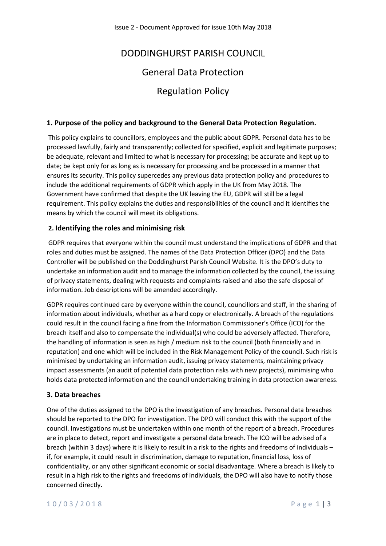# DODDINGHURST PARISH COUNCIL

## General Data Protection

## Regulation Policy

#### **1. Purpose of the policy and background to the General Data Protection Regulation.**

This policy explains to councillors, employees and the public about GDPR. Personal data has to be processed lawfully, fairly and transparently; collected for specified, explicit and legitimate purposes; be adequate, relevant and limited to what is necessary for processing; be accurate and kept up to date; be kept only for as long as is necessary for processing and be processed in a manner that ensures its security. This policy supercedes any previous data protection policy and procedures to include the additional requirements of GDPR which apply in the UK from May 2018. The Government have confirmed that despite the UK leaving the EU, GDPR will still be a legal requirement. This policy explains the duties and responsibilities of the council and it identifies the means by which the council will meet its obligations.

#### **2. Identifying the roles and minimising risk**

GDPR requires that everyone within the council must understand the implications of GDPR and that roles and duties must be assigned. The names of the Data Protection Officer (DPO) and the Data Controller will be published on the Doddinghurst Parish Council Website. It is the DPO's duty to undertake an information audit and to manage the information collected by the council, the issuing of privacy statements, dealing with requests and complaints raised and also the safe disposal of information. Job descriptions will be amended accordingly.

GDPR requires continued care by everyone within the council, councillors and staff, in the sharing of information about individuals, whether as a hard copy or electronically. A breach of the regulations could result in the council facing a fine from the Information Commissioner's Office (ICO) for the breach itself and also to compensate the individual(s) who could be adversely affected. Therefore, the handling of information is seen as high / medium risk to the council (both financially and in reputation) and one which will be included in the Risk Management Policy of the council. Such risk is minimised by undertaking an information audit, issuing privacy statements, maintaining privacy impact assessments (an audit of potential data protection risks with new projects), minimising who holds data protected information and the council undertaking training in data protection awareness.

#### **3. Data breaches**

One of the duties assigned to the DPO is the investigation of any breaches. Personal data breaches should be reported to the DPO for investigation. The DPO will conduct this with the support of the council. Investigations must be undertaken within one month of the report of a breach. Procedures are in place to detect, report and investigate a personal data breach. The ICO will be advised of a breach (within 3 days) where it is likely to result in a risk to the rights and freedoms of individuals – if, for example, it could result in discrimination, damage to reputation, financial loss, loss of confidentiality, or any other significant economic or social disadvantage. Where a breach is likely to result in a high risk to the rights and freedoms of individuals, the DPO will also have to notify those concerned directly.

#### 1 0 / 0 3 / 2 0 1 8 P a g e 1 | 3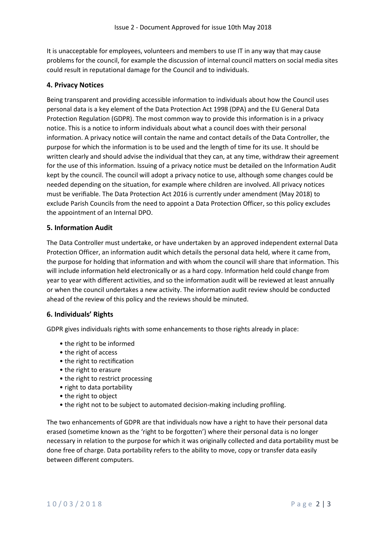It is unacceptable for employees, volunteers and members to use IT in any way that may cause problems for the council, for example the discussion of internal council matters on social media sites could result in reputational damage for the Council and to individuals.

### **4. Privacy Notices**

Being transparent and providing accessible information to individuals about how the Council uses personal data is a key element of the Data Protection Act 1998 (DPA) and the EU General Data Protection Regulation (GDPR). The most common way to provide this information is in a privacy notice. This is a notice to inform individuals about what a council does with their personal information. A privacy notice will contain the name and contact details of the Data Controller, the purpose for which the information is to be used and the length of time for its use. It should be written clearly and should advise the individual that they can, at any time, withdraw their agreement for the use of this information. Issuing of a privacy notice must be detailed on the Information Audit kept by the council. The council will adopt a privacy notice to use, although some changes could be needed depending on the situation, for example where children are involved. All privacy notices must be verifiable. The Data Protection Act 2016 is currently under amendment (May 2018) to exclude Parish Councils from the need to appoint a Data Protection Officer, so this policy excludes the appointment of an Internal DPO.

#### **5. Information Audit**

The Data Controller must undertake, or have undertaken by an approved independent external Data Protection Officer, an information audit which details the personal data held, where it came from, the purpose for holding that information and with whom the council will share that information. This will include information held electronically or as a hard copy. Information held could change from year to year with different activities, and so the information audit will be reviewed at least annually or when the council undertakes a new activity. The information audit review should be conducted ahead of the review of this policy and the reviews should be minuted.

#### **6. Individuals' Rights**

GDPR gives individuals rights with some enhancements to those rights already in place:

- the right to be informed
- the right of access
- the right to rectification
- the right to erasure
- the right to restrict processing
- right to data portability
- the right to object
- the right not to be subject to automated decision-making including profiling.

The two enhancements of GDPR are that individuals now have a right to have their personal data erased (sometime known as the 'right to be forgotten') where their personal data is no longer necessary in relation to the purpose for which it was originally collected and data portability must be done free of charge. Data portability refers to the ability to move, copy or transfer data easily between different computers.